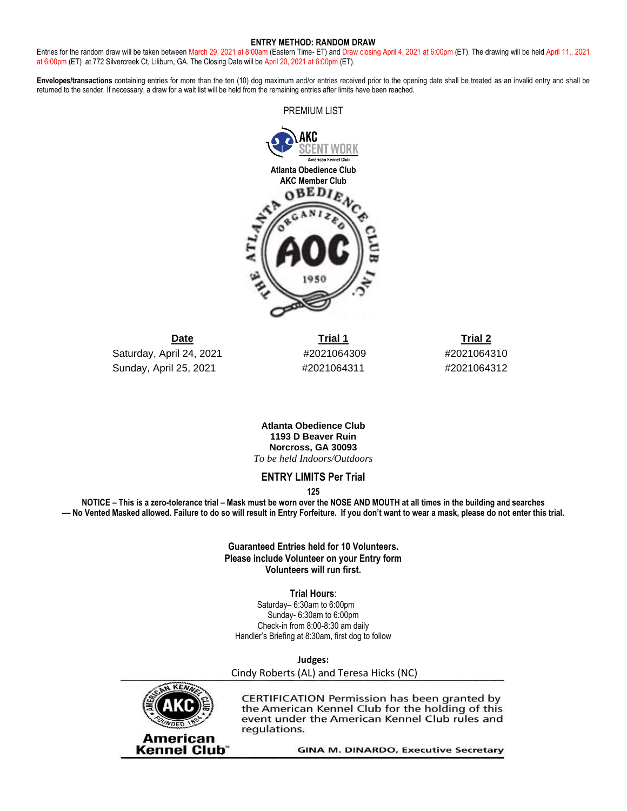#### **ENTRY METHOD: RANDOM DRAW**

Entries for the random draw will be taken between March 29, 2021 at 8:00am (Eastern Time- ET) and Draw closing April 4, 2021 at 6:00pm (ET). The drawing will be held April 11,, 2021 at 6:00pm (ET) at 772 Silvercreek Ct, Liliburn, GA. The Closing Date will be April 20, 2021 at 6:00pm (ET).

Envelopes/transactions containing entries for more than the ten (10) dog maximum and/or entries received prior to the opening date shall be treated as an invalid entry and shall be returned to the sender. If necessary, a draw for a wait list will be held from the remaining entries after limits have been reached.



Saturday, April 24, 2021 #2021064309 #2021064310 Sunday, April 25, 2021 #2021064311 #2021064312

**Date Trial 1 Trial 2**

**Atlanta Obedience Club 1193 D Beaver Ruin Norcross, GA 30093**  *To be held Indoors/Outdoors*

# **ENTRY LIMITS Per Trial**

**125** 

**NOTICE – This is a zero-tolerance trial – Mask must be worn over the NOSE AND MOUTH at all times in the building an**d **searches –– No Vented Masked allowed. Failure to do so will result in Entry Forfeiture. If you don't want to wear a mask, please do not enter this trial.**

> **Guaranteed Entries held for 10 Volunteers. Please include Volunteer on your Entry form Volunteers will run first.**

#### **Trial Hours**:

Saturday– 6:30am to 6:00pm Sunday- 6:30am to 6:00pm Check-in from 8:00-8:30 am daily Handler's Briefing at 8:30am, first dog to follow

**Judges:**

Cindy Roberts (AL) and Teresa Hicks (NC)



CERTIFICATION Permission has been granted by the American Kennel Club for the holding of this event under the American Kennel Club rules and regulations.

**GINA M. DINARDO, Executive Secretary**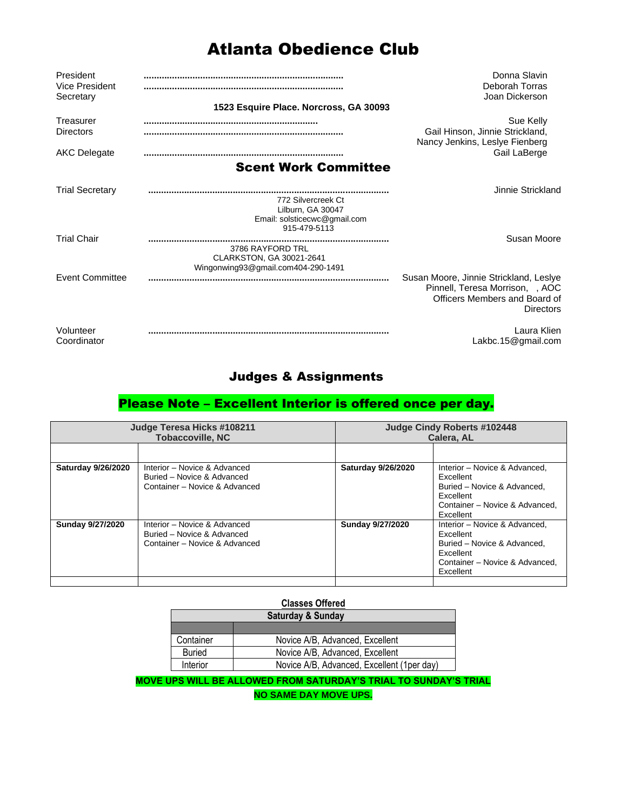# Atlanta Obedience Club

| President<br>Vice President<br>Secretary |                                                                                         | Donna Slavin<br>Deborah Torras<br>Joan Dickerson                                                                               |
|------------------------------------------|-----------------------------------------------------------------------------------------|--------------------------------------------------------------------------------------------------------------------------------|
|                                          | 1523 Esquire Place. Norcross, GA 30093                                                  |                                                                                                                                |
| Treasurer<br><b>Directors</b>            |                                                                                         | Sue Kelly<br>Gail Hinson, Jinnie Strickland,<br>Nancy Jenkins, Leslye Fienberg                                                 |
| <b>AKC</b> Delegate                      |                                                                                         | Gail LaBerge                                                                                                                   |
|                                          | <b>Scent Work Committee</b>                                                             |                                                                                                                                |
| <b>Trial Secretary</b>                   | 772 Silvercreek Ct<br>Lilburn, GA 30047<br>Email: solsticecwc@gmail.com<br>915-479-5113 | Jinnie Strickland                                                                                                              |
| <b>Trial Chair</b>                       | 3786 RAYFORD TRL<br>CLARKSTON, GA 30021-2641<br>Wingonwing93@gmail.com404-290-1491      | Susan Moore                                                                                                                    |
| <b>Event Committee</b>                   |                                                                                         | Susan Moore, Jinnie Strickland, Leslye<br>Pinnell, Teresa Morrison, , AOC<br>Officers Members and Board of<br><b>Directors</b> |
| Volunteer<br>Coordinator                 |                                                                                         | Laura Klien<br>Lakbc.15@gmail.com                                                                                              |

# Judges & Assignments

# Please Note – Excellent Interior is offered once per day.

| Judge Teresa Hicks #108211<br><b>Tobaccoville, NC</b> |                                                                                             | Judge Cindy Roberts #102448<br>Calera, AL |                                                                                                                                              |  |
|-------------------------------------------------------|---------------------------------------------------------------------------------------------|-------------------------------------------|----------------------------------------------------------------------------------------------------------------------------------------------|--|
|                                                       |                                                                                             |                                           |                                                                                                                                              |  |
| <b>Saturday 9/26/2020</b>                             | Interior - Novice & Advanced<br>Buried – Novice & Advanced<br>Container - Novice & Advanced | <b>Saturday 9/26/2020</b>                 | Interior - Novice & Advanced.<br>Excellent<br>Buried - Novice & Advanced.<br>Excellent<br>Container - Novice & Advanced.<br>Excellent        |  |
| <b>Sunday 9/27/2020</b>                               | Interior - Novice & Advanced<br>Buried - Novice & Advanced<br>Container - Novice & Advanced | <b>Sunday 9/27/2020</b>                   | Interior - Novice & Advanced,<br><b>Fxcellent</b><br>Buried - Novice & Advanced.<br>Excellent<br>Container - Novice & Advanced.<br>Excellent |  |

|  |  | <b>Classes Offered</b> |  |
|--|--|------------------------|--|
|  |  |                        |  |

 $\overline{a}$ 

| <b>Saturday &amp; Sunday</b>              |                                            |  |
|-------------------------------------------|--------------------------------------------|--|
|                                           |                                            |  |
| Container                                 | Novice A/B, Advanced, Excellent            |  |
| Buried<br>Novice A/B, Advanced, Excellent |                                            |  |
| Interior                                  | Novice A/B, Advanced, Excellent (1per day) |  |

**MOVE UPS WILL BE ALLOWED FROM SATURDAY'S TRIAL TO SUNDAY'S TRIAL**

**NO SAME DAY MOVE UPS.**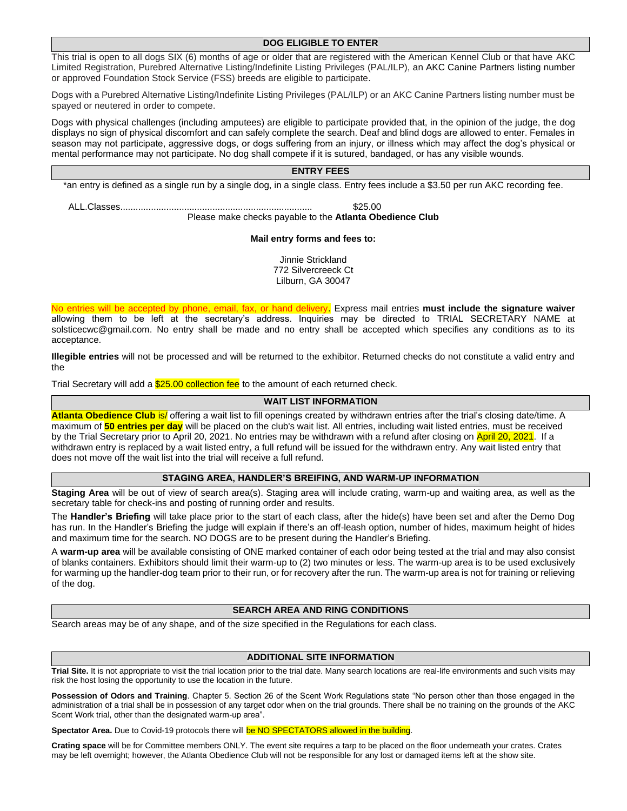#### **DOG ELIGIBLE TO ENTER**

This trial is open to all dogs SIX (6) months of age or older that are registered with the American Kennel Club or that have AKC Limited Registration, Purebred Alternative Listing/Indefinite Listing Privileges (PAL/ILP), an AKC Canine Partners listing number or approved Foundation Stock Service (FSS) breeds are eligible to participate.

Dogs with a Purebred Alternative Listing/Indefinite Listing Privileges (PAL/ILP) or an AKC Canine Partners listing number must be spayed or neutered in order to compete.

Dogs with physical challenges (including amputees) are eligible to participate provided that, in the opinion of the judge, the dog displays no sign of physical discomfort and can safely complete the search. Deaf and blind dogs are allowed to enter. Females in season may not participate, aggressive dogs, or dogs suffering from an injury, or illness which may affect the dog's physical or mental performance may not participate. No dog shall compete if it is sutured, bandaged, or has any visible wounds.

#### **ENTRY FEES**

\*an entry is defined as a single run by a single dog, in a single class. Entry fees include a \$3.50 per run AKC recording fee.

ALL.Classes........................................................................... \$25.00 Please make checks payable to the **Atlanta Obedience Club**

#### **Mail entry forms and fees to:**

Jinnie Strickland 772 Silvercreeck Ct Lilburn, GA 30047

No entries will be accepted by phone, email, fax, or hand delivery. Express mail entries **must include the signature waiver** allowing them to be left at the secretary's address. Inquiries may be directed to TRIAL SECRETARY NAME at solsticecwc@gmail.com. No entry shall be made and no entry shall be accepted which specifies any conditions as to its acceptance.

**Illegible entries** will not be processed and will be returned to the exhibitor. Returned checks do not constitute a valid entry and the

Trial Secretary will add a \$25.00 collection fee to the amount of each returned check.

#### **WAIT LIST INFORMATION**

Atlanta Obedience Club is/ offering a wait list to fill openings created by withdrawn entries after the trial's closing date/time. A maximum of **50 entries per day** will be placed on the club's wait list. All entries, including wait listed entries, must be received by the Trial Secretary prior to April 20, 2021. No entries may be withdrawn with a refund after closing on April 20, 2021. If a withdrawn entry is replaced by a wait listed entry, a full refund will be issued for the withdrawn entry. Any wait listed entry that does not move off the wait list into the trial will receive a full refund.

#### **STAGING AREA, HANDLER'S BREIFING, AND WARM-UP INFORMATION**

**Staging Area** will be out of view of search area(s). Staging area will include crating, warm-up and waiting area, as well as the secretary table for check-ins and posting of running order and results.

The **Handler's Briefing** will take place prior to the start of each class, after the hide(s) have been set and after the Demo Dog has run. In the Handler's Briefing the judge will explain if there's an off-leash option, number of hides, maximum height of hides and maximum time for the search. NO DOGS are to be present during the Handler's Briefing.

A **warm-up area** will be available consisting of ONE marked container of each odor being tested at the trial and may also consist of blanks containers. Exhibitors should limit their warm-up to (2) two minutes or less. The warm-up area is to be used exclusively for warming up the handler-dog team prior to their run, or for recovery after the run. The warm-up area is not for training or relieving of the dog.

#### **SEARCH AREA AND RING CONDITIONS**

Search areas may be of any shape, and of the size specified in the Regulations for each class.

#### **ADDITIONAL SITE INFORMATION**

**Trial Site.** It is not appropriate to visit the trial location prior to the trial date. Many search locations are real-life environments and such visits may risk the host losing the opportunity to use the location in the future.

**Possession of Odors and Training**. Chapter 5. Section 26 of the Scent Work Regulations state "No person other than those engaged in the administration of a trial shall be in possession of any target odor when on the trial grounds. There shall be no training on the grounds of the AKC Scent Work trial, other than the designated warm-up area".

**Spectator Area.** Due to Covid-19 protocols there will be NO SPECTATORS allowed in the building.

**Crating space** will be for Committee members ONLY. The event site requires a tarp to be placed on the floor underneath your crates. Crates may be left overnight; however, the Atlanta Obedience Club will not be responsible for any lost or damaged items left at the show site.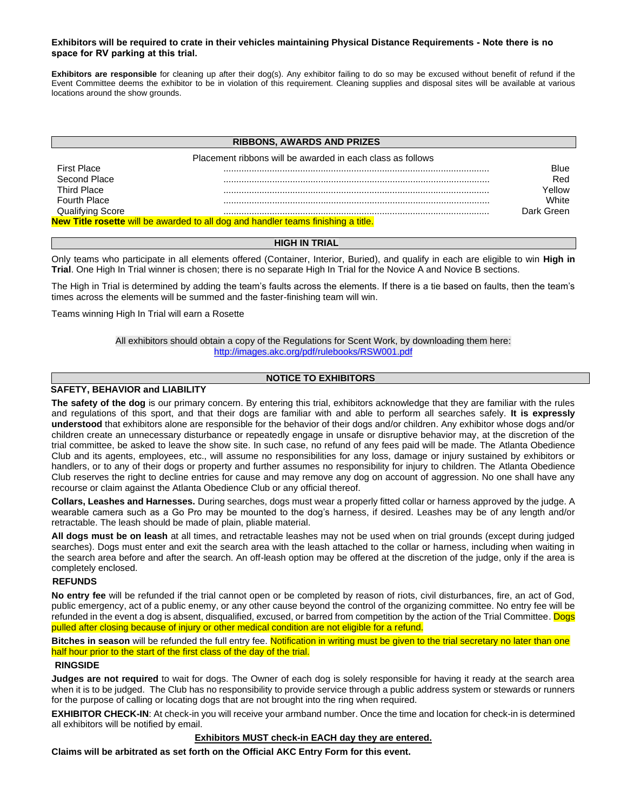#### **Exhibitors will be required to crate in their vehicles maintaining Physical Distance Requirements - Note there is no space for RV parking at this trial.**

**Exhibitors are responsible** for cleaning up after their dog(s). Any exhibitor failing to do so may be excused without benefit of refund if the Event Committee deems the exhibitor to be in violation of this requirement. Cleaning supplies and disposal sites will be available at various locations around the show grounds.

#### **RIBBONS, AWARDS AND PRIZES**

|                                                                                   | Placement ribbons will be awarded in each class as follows |             |  |
|-----------------------------------------------------------------------------------|------------------------------------------------------------|-------------|--|
| First Place                                                                       |                                                            | <b>Blue</b> |  |
| Second Place                                                                      |                                                            | Red         |  |
| Third Place                                                                       |                                                            | Yellow      |  |
| <b>Fourth Place</b>                                                               |                                                            | White       |  |
| Qualifying Score                                                                  |                                                            | Dark Green. |  |
| New Title rosette will be awarded to all dog and handler teams finishing a title. |                                                            |             |  |

**HIGH IN TRIAL**

Only teams who participate in all elements offered (Container, Interior, Buried), and qualify in each are eligible to win **High in Trial**. One High In Trial winner is chosen; there is no separate High In Trial for the Novice A and Novice B sections.

The High in Trial is determined by adding the team's faults across the elements. If there is a tie based on faults, then the team's times across the elements will be summed and the faster-finishing team will win.

Teams winning High In Trial will earn a Rosette

All exhibitors should obtain a copy of the Regulations for Scent Work, by downloading them here: <http://images.akc.org/pdf/rulebooks/RSW001.pdf>

#### **NOTICE TO EXHIBITORS**

#### **SAFETY, BEHAVIOR and LIABILITY**

**The safety of the dog** is our primary concern. By entering this trial, exhibitors acknowledge that they are familiar with the rules and regulations of this sport, and that their dogs are familiar with and able to perform all searches safely. **It is expressly understood** that exhibitors alone are responsible for the behavior of their dogs and/or children. Any exhibitor whose dogs and/or children create an unnecessary disturbance or repeatedly engage in unsafe or disruptive behavior may, at the discretion of the trial committee, be asked to leave the show site. In such case, no refund of any fees paid will be made. The Atlanta Obedience Club and its agents, employees, etc., will assume no responsibilities for any loss, damage or injury sustained by exhibitors or handlers, or to any of their dogs or property and further assumes no responsibility for injury to children. The Atlanta Obedience Club reserves the right to decline entries for cause and may remove any dog on account of aggression. No one shall have any recourse or claim against the Atlanta Obedience Club or any official thereof.

**Collars, Leashes and Harnesses.** During searches, dogs must wear a properly fitted collar or harness approved by the judge. A wearable camera such as a Go Pro may be mounted to the dog's harness, if desired. Leashes may be of any length and/or retractable. The leash should be made of plain, pliable material.

**All dogs must be on leash** at all times, and retractable leashes may not be used when on trial grounds (except during judged searches). Dogs must enter and exit the search area with the leash attached to the collar or harness, including when waiting in the search area before and after the search. An off-leash option may be offered at the discretion of the judge, only if the area is completely enclosed.

#### **REFUNDS**

**No entry fee** will be refunded if the trial cannot open or be completed by reason of riots, civil disturbances, fire, an act of God, public emergency, act of a public enemy, or any other cause beyond the control of the organizing committee. No entry fee will be refunded in the event a dog is absent, disqualified, excused, or barred from competition by the action of the Trial Committee, Dogs pulled after closing because of injury or other medical condition are not eligible for a refund.

**Bitches in season** will be refunded the full entry fee. Notification in writing must be given to the trial secretary no later than one half hour prior to the start of the first class of the day of the trial.

#### **RINGSIDE**

**Judges are not required** to wait for dogs. The Owner of each dog is solely responsible for having it ready at the search area when it is to be judged. The Club has no responsibility to provide service through a public address system or stewards or runners for the purpose of calling or locating dogs that are not brought into the ring when required.

**EXHIBITOR CHECK-IN**: At check-in you will receive your armband number. Once the time and location for check-in is determined all exhibitors will be notified by email.

#### **Exhibitors MUST check-in EACH day they are entered.**

**Claims will be arbitrated as set forth on the Official AKC Entry Form for this event.**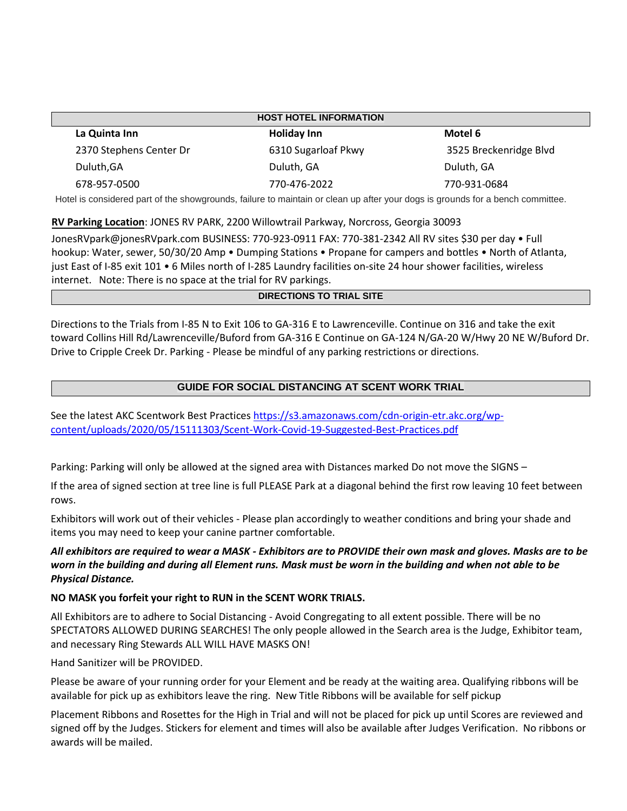| <b>HOST HOTEL INFORMATION</b> |                     |                        |  |  |
|-------------------------------|---------------------|------------------------|--|--|
| La Quinta Inn                 | <b>Holiday Inn</b>  | Motel 6                |  |  |
| 2370 Stephens Center Dr       | 6310 Sugarloaf Pkwy | 3525 Breckenridge Blvd |  |  |
| Duluth, GA                    | Duluth, GA          | Duluth, GA             |  |  |
| 678-957-0500                  | 770-476-2022        | 770-931-0684           |  |  |

Hotel is considered part of the showgrounds, failure to maintain or clean up after your dogs is grounds for a bench committee.

# **RV Parking Location**: JONES RV PARK, 2200 Willowtrail Parkway, Norcross, Georgia 30093

JonesRVpark@jonesRVpark.com BUSINESS: 770-923-0911 FAX: 770-381-2342 All RV sites \$30 per day • Full hookup: Water, sewer, 50/30/20 Amp • Dumping Stations • Propane for campers and bottles • North of Atlanta, just East of I-85 exit 101 • 6 Miles north of I-285 Laundry facilities on-site 24 hour shower facilities, wireless internet. Note: There is no space at the trial for RV parkings.

# **DIRECTIONS TO TRIAL SITE**

Directions to the Trials from I-85 N to Exit 106 to GA-316 E to Lawrenceville. Continue on 316 and take the exit toward Collins Hill Rd/Lawrenceville/Buford from GA-316 E Continue on GA-124 N/GA-20 W/Hwy 20 NE W/Buford Dr. Drive to Cripple Creek Dr. Parking - Please be mindful of any parking restrictions or directions.

# **GUIDE FOR SOCIAL DISTANCING AT SCENT WORK TRIAL**

See the latest AKC Scentwork Best Practices [https://s3.amazonaws.com/cdn-origin-etr.akc.org/wp](https://s3.amazonaws.com/cdn-origin-etr.akc.org/wp-content/uploads/2020/05/15111303/Scent-Work-Covid-19-Suggested-Best-Practices.pdf)[content/uploads/2020/05/15111303/Scent-Work-Covid-19-Suggested-Best-Practices.pdf](https://s3.amazonaws.com/cdn-origin-etr.akc.org/wp-content/uploads/2020/05/15111303/Scent-Work-Covid-19-Suggested-Best-Practices.pdf)

Parking: Parking will only be allowed at the signed area with Distances marked Do not move the SIGNS –

If the area of signed section at tree line is full PLEASE Park at a diagonal behind the first row leaving 10 feet between rows.

Exhibitors will work out of their vehicles - Please plan accordingly to weather conditions and bring your shade and items you may need to keep your canine partner comfortable.

# *All exhibitors are required to wear a MASK - Exhibitors are to PROVIDE their own mask and gloves. Masks are to be worn in the building and during all Element runs. Mask must be worn in the building and when not able to be Physical Distance.*

# **NO MASK you forfeit your right to RUN in the SCENT WORK TRIALS.**

All Exhibitors are to adhere to Social Distancing - Avoid Congregating to all extent possible. There will be no SPECTATORS ALLOWED DURING SEARCHES! The only people allowed in the Search area is the Judge, Exhibitor team, and necessary Ring Stewards ALL WILL HAVE MASKS ON!

Hand Sanitizer will be PROVIDED.

Please be aware of your running order for your Element and be ready at the waiting area. Qualifying ribbons will be available for pick up as exhibitors leave the ring. New Title Ribbons will be available for self pickup

Placement Ribbons and Rosettes for the High in Trial and will not be placed for pick up until Scores are reviewed and signed off by the Judges. Stickers for element and times will also be available after Judges Verification. No ribbons or awards will be mailed.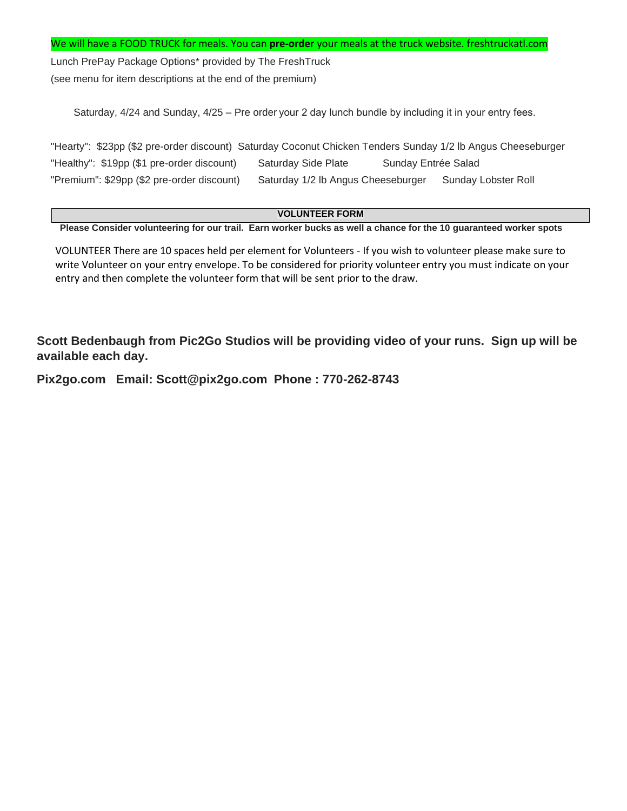We will have a FOOD TRUCK for meals. You can **pre-order** your meals at the truck website. freshtruckatl.com Lunch PrePay Package Options\* provided by The FreshTruck (see menu for item descriptions at the end of the premium)

Saturday, 4/24 and Sunday, 4/25 – Pre order your 2 day lunch bundle by including it in your entry fees.

"Hearty": \$23pp (\$2 pre-order discount) Saturday Coconut Chicken Tenders Sunday 1/2 lb Angus Cheeseburger "Healthy": \$19pp (\$1 pre-order discount) Saturday Side Plate Sunday Entrée Salad "Premium": \$29pp (\$2 pre-order discount) Saturday 1/2 lb Angus Cheeseburger Sunday Lobster Roll

#### **VOLUNTEER FORM**

**Please Consider volunteering for our trail. Earn worker bucks as well a chance for the 10 guaranteed worker spots**

VOLUNTEER There are 10 spaces held per element for Volunteers - If you wish to volunteer please make sure to write Volunteer on your entry envelope. To be considered for priority volunteer entry you must indicate on your entry and then complete the volunteer form that will be sent prior to the draw.

**Scott Bedenbaugh from Pic2Go Studios will be providing video of your runs. Sign up will be available each day.** 

**Pix2go.com Email: Scott@pix2go.com Phone : 770-262-8743**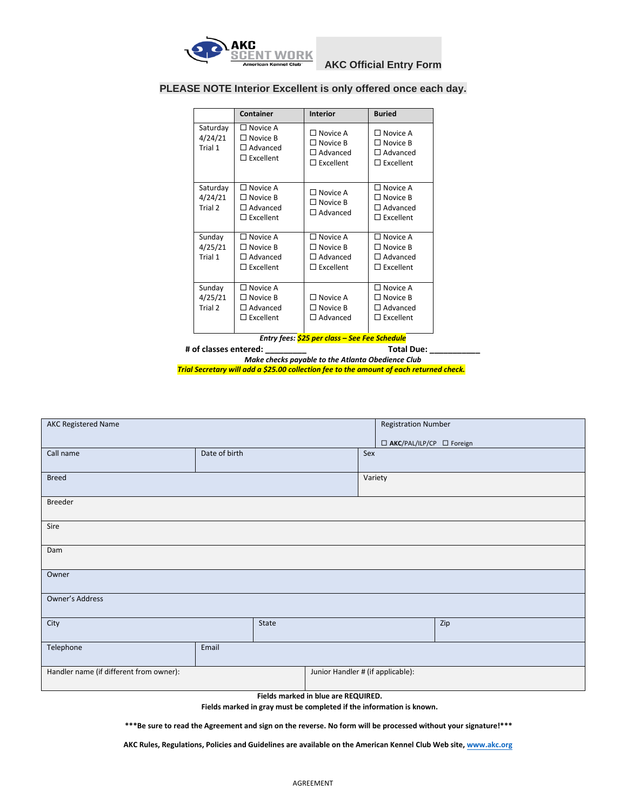

# **AKC Official Entry Form**

### **PLEASE NOTE Interior Excellent is only offered once each day.**

|                                | Container                                                                 | <b>Interior</b>                                                              | <b>Buried</b>                                                                |
|--------------------------------|---------------------------------------------------------------------------|------------------------------------------------------------------------------|------------------------------------------------------------------------------|
| Saturday<br>4/24/21<br>Trial 1 | $\Box$ Novice A<br>$\Box$ Novice B<br>$\Box$ Advanced<br>$\Box$ Excellent | $\Box$ Novice A<br>$\Box$ Novice B<br>$\Box$ Advanced<br>$\Box$ Excellent    | $\Box$ Novice A<br>$\Box$ Novice B<br>$\Box$ Advanced<br>$\Box$ Excellent    |
| Saturday<br>4/24/21<br>Trial 2 | ∩ Novice A<br>$\Box$ Novice B<br>$\Box$ Advanced<br>$\Box$ Excellent      | $\Box$ Novice A<br>$\Box$ Novice B<br>$\Box$ Advanced                        | ∩ Novice A<br>$\Box$ Novice B<br>$\Box$ Advanced<br>$\Box$ Excellent         |
| Sunday<br>4/25/21<br>Trial 1   | $\Box$ Novice A<br>$\Box$ Novice B<br>$\Box$ Advanced<br>$\Box$ Excellent | $\Box$ Novice A<br>$\square$ Novice B<br>$\Box$ Advanced<br>$\Box$ Excellent | $\Box$ Novice A<br>$\Box$ Novice B<br>$\Box$ Advanced<br>$\Box$ Excellent    |
| Sunday<br>4/25/21<br>Trial 2   | $\Box$ Novice A<br>$\Box$ Novice B<br>$\Box$ Advanced<br>$\Box$ Excellent | $\Box$ Novice A<br>$\Box$ Novice B<br>$\Box$ Advanced                        | $\Box$ Novice A<br>$\square$ Novice B<br>$\Box$ Advanced<br>$\Box$ Excellent |
|                                |                                                                           | Entry fees: <mark>\$25 per class – See Fee Schedule</mark>                   |                                                                              |

**# of classes entered: \_\_\_\_\_\_\_\_\_ Total Due: \_\_\_\_\_\_\_\_\_\_\_**

*Make checks payable to the Atlanta Obedience Club*

*Trial Secretary will add a \$25.00 collection fee to the amount of each returned check.*

| <b>AKC Registered Name</b>              |               | <b>Registration Number</b>        |                                            |     |         |
|-----------------------------------------|---------------|-----------------------------------|--------------------------------------------|-----|---------|
|                                         |               |                                   | $\square$ AKC/PAL/ILP/CP $\square$ Foreign |     |         |
| Call name                               | Date of birth |                                   |                                            | Sex |         |
| <b>Breed</b>                            |               |                                   |                                            |     | Variety |
| Breeder                                 |               |                                   |                                            |     |         |
| Sire                                    |               |                                   |                                            |     |         |
| Dam                                     |               |                                   |                                            |     |         |
| Owner                                   |               |                                   |                                            |     |         |
| Owner's Address                         |               |                                   |                                            |     |         |
| State<br>City                           |               | Zip                               |                                            |     |         |
| Telephone                               | Email         |                                   |                                            |     |         |
| Handler name (if different from owner): |               | Junior Handler # (if applicable): |                                            |     |         |

**Fields marked in blue are REQUIRED.** 

**Fields marked in gray must be completed if the information is known.** 

**\*\*\*Be sure to read the Agreement and sign on the reverse. No form will be processed without your signature!\*\*\*** 

**AKC Rules, Regulations, Policies and Guidelines are available on the American Kennel Club Web [site, www.akc.o](http://www.akc.org/)rg**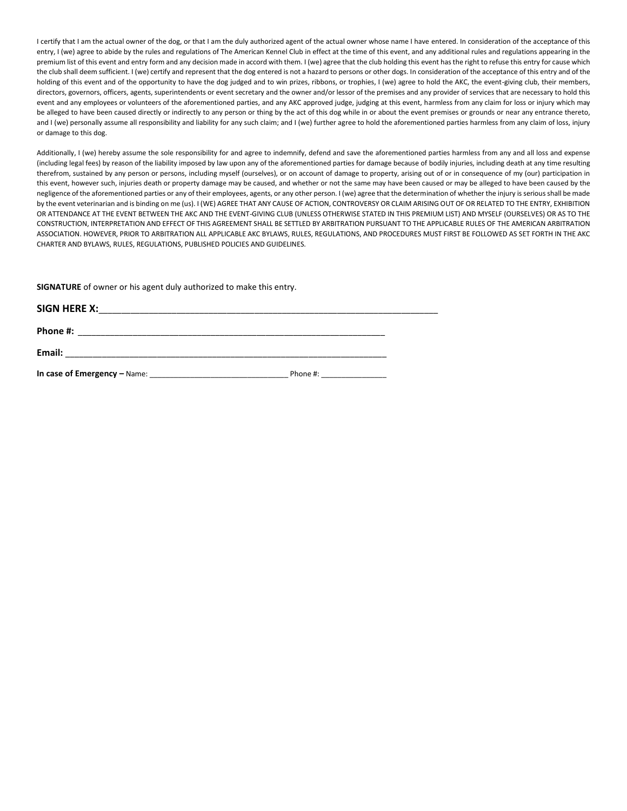I certify that I am the actual owner of the dog, or that I am the duly authorized agent of the actual owner whose name I have entered. In consideration of the acceptance of this entry, I (we) agree to abide by the rules and regulations of The American Kennel Club in effect at the time of this event, and any additional rules and regulations appearing in the premium list of this event and entry form and any decision made in accord with them. I (we) agree that the club holding this event has the right to refuse this entry for cause which the club shall deem sufficient. I (we) certify and represent that the dog entered is not a hazard to persons or other dogs. In consideration of the acceptance of this entry and of the holding of this event and of the opportunity to have the dog judged and to win prizes, ribbons, or trophies, I (we) agree to hold the AKC, the event-giving club, their members, directors, governors, officers, agents, superintendents or event secretary and the owner and/or lessor of the premises and any provider of services that are necessary to hold this event and any employees or volunteers of the aforementioned parties, and any AKC approved judge, judging at this event, harmless from any claim for loss or injury which may be alleged to have been caused directly or indirectly to any person or thing by the act of this dog while in or about the event premises or grounds or near any entrance thereto, and I (we) personally assume all responsibility and liability for any such claim; and I (we) further agree to hold the aforementioned parties harmless from any claim of loss, injury or damage to this dog.

Additionally, I (we) hereby assume the sole responsibility for and agree to indemnify, defend and save the aforementioned parties harmless from any and all loss and expense (including legal fees) by reason of the liability imposed by law upon any of the aforementioned parties for damage because of bodily injuries, including death at any time resulting therefrom, sustained by any person or persons, including myself (ourselves), or on account of damage to property, arising out of or in consequence of my (our) participation in this event, however such, injuries death or property damage may be caused, and whether or not the same may have been caused or may be alleged to have been caused by the negligence of the aforementioned parties or any of their employees, agents, or any other person. I (we) agree that the determination of whether the injury is serious shall be made by the event veterinarian and is binding on me (us). I (WE) AGREE THAT ANY CAUSE OF ACTION, CONTROVERSY OR CLAIM ARISING OUT OF OR RELATED TO THE ENTRY, EXHIBITION OR ATTENDANCE AT THE EVENT BETWEEN THE AKC AND THE EVENT-GIVING CLUB (UNLESS OTHERWISE STATED IN THIS PREMIUM LIST) AND MYSELF (OURSELVES) OR AS TO THE CONSTRUCTION, INTERPRETATION AND EFFECT OF THIS AGREEMENT SHALL BE SETTLED BY ARBITRATION PURSUANT TO THE APPLICABLE RULES OF THE AMERICAN ARBITRATION ASSOCIATION. HOWEVER, PRIOR TO ARBITRATION ALL APPLICABLE AKC BYLAWS, RULES, REGULATIONS, AND PROCEDURES MUST FIRST BE FOLLOWED AS SET FORTH IN THE AKC CHARTER AND BYLAWS, RULES, REGULATIONS, PUBLISHED POLICIES AND GUIDELINES.

**SIGNATURE** of owner or his agent duly authorized to make this entry.

**SIGN HERE X:**\_\_\_\_\_\_\_\_\_\_\_\_\_\_\_\_\_\_\_\_\_\_\_\_\_\_\_\_\_\_\_\_\_\_\_\_\_\_\_\_\_\_\_\_\_\_\_\_\_\_\_\_\_\_\_\_\_\_\_\_\_\_\_\_\_\_\_\_\_\_\_\_\_\_ **Phone #:** \_\_\_\_\_\_\_\_\_\_\_\_\_\_\_\_\_\_\_\_\_\_\_\_\_\_\_\_\_\_\_\_\_\_\_\_\_\_\_\_\_\_\_\_\_\_\_\_\_\_\_\_\_\_\_\_\_\_\_\_\_\_\_\_\_\_\_ **Email:** \_\_\_\_\_\_\_\_\_\_\_\_\_\_\_\_\_\_\_\_\_\_\_\_\_\_\_\_\_\_\_\_\_\_\_\_\_\_\_\_\_\_\_\_\_\_\_\_\_\_\_\_\_\_\_\_\_\_\_\_\_\_\_\_\_\_\_\_\_\_ **In case of Emergency –** Name: **Name: Phone #:** 2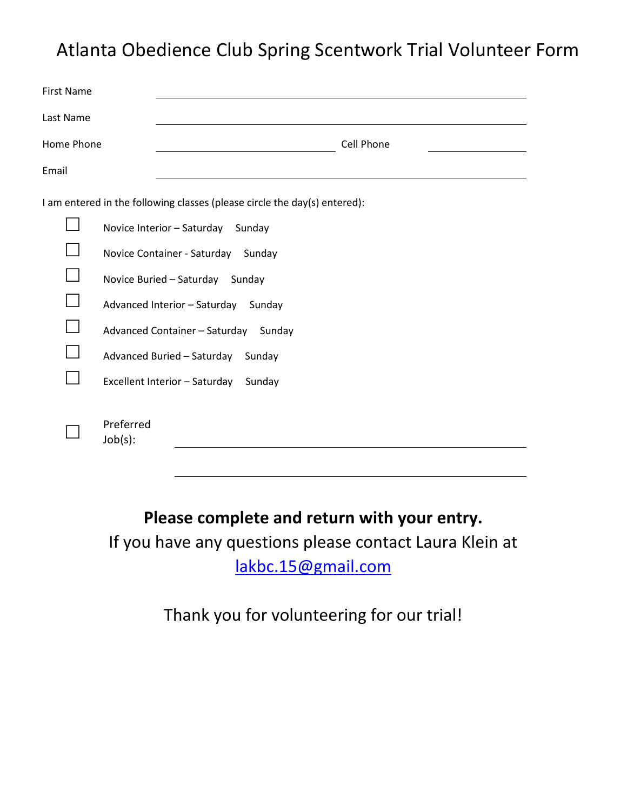# Atlanta Obedience Club Spring Scentwork Trial Volunteer Form

| <b>First Name</b> |                                                                           |
|-------------------|---------------------------------------------------------------------------|
| Last Name         |                                                                           |
| Home Phone        | Cell Phone                                                                |
| Email             |                                                                           |
|                   | I am entered in the following classes (please circle the day(s) entered): |
|                   | Novice Interior - Saturday<br>Sunday                                      |
|                   | Novice Container - Saturday<br>Sunday                                     |
|                   | Novice Buried - Saturday<br>Sunday                                        |
|                   | Advanced Interior - Saturday<br>Sunday                                    |
|                   | Advanced Container - Saturday<br>Sunday                                   |
|                   | Advanced Buried - Saturday<br>Sunday                                      |
|                   | Excellent Interior - Saturday<br>Sunday                                   |
|                   | Preferred<br>$Job(s)$ :                                                   |

**Please complete and return with your entry.**

If you have any questions please contact Laura Klein at [lakbc.15@gmail.com](mailto:lakbc.15@gmail.com)

Thank you for volunteering for our trial!